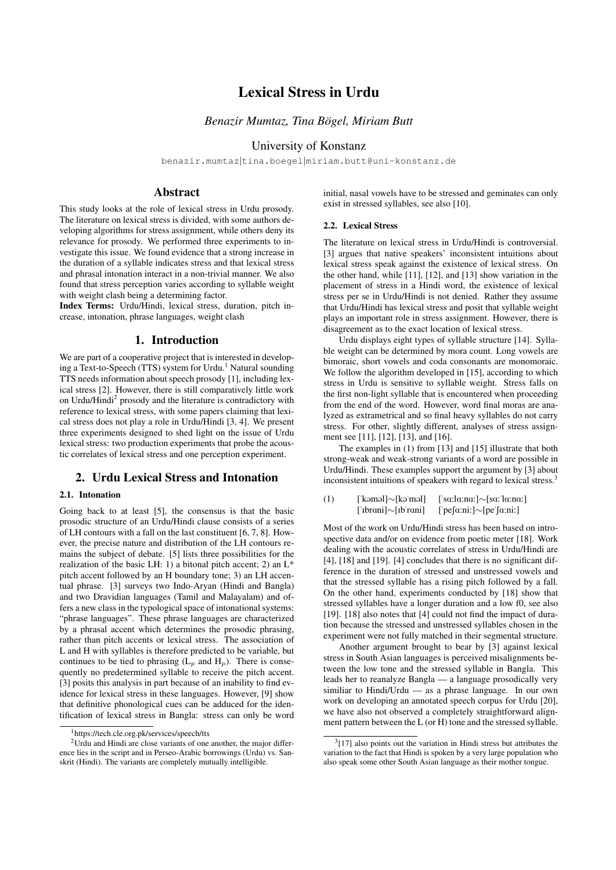# Lexical Stress in Urdu

# *Benazir Mumtaz, Tina Bögel, Miriam Butt*

## University of Konstanz

benazir.mumtaz|tina.boegel|miriam.butt@uni-konstanz.de

## Abstract

This study looks at the role of lexical stress in Urdu prosody. The literature on lexical stress is divided, with some authors developing algorithms for stress assignment, while others deny its relevance for prosody. We performed three experiments to investigate this issue. We found evidence that a strong increase in the duration of a syllable indicates stress and that lexical stress and phrasal intonation interact in a non-trivial manner. We also found that stress perception varies according to syllable weight with weight clash being a determining factor.

Index Terms: Urdu/Hindi, lexical stress, duration, pitch increase, intonation, phrase languages, weight clash

## 1. Introduction

We are part of a cooperative project that is interested in developing a Text-to-Speech (TTS) system for Urdu.<sup>1</sup> Natural sounding TTS needs information about speech prosody [1], including lexical stress [2]. However, there is still comparatively little work on Urdu/Hindi<sup>2</sup> prosody and the literature is contradictory with reference to lexical stress, with some papers claiming that lexical stress does not play a role in Urdu/Hindi [3, 4]. We present three experiments designed to shed light on the issue of Urdu lexical stress: two production experiments that probe the acoustic correlates of lexical stress and one perception experiment.

## 2. Urdu Lexical Stress and Intonation

### 2.1. Intonation

Going back to at least [5], the consensus is that the basic prosodic structure of an Urdu/Hindi clause consists of a series of LH contours with a fall on the last constituent [6, 7, 8]. However, the precise nature and distribution of the LH contours remains the subject of debate. [5] lists three possibilities for the realization of the basic LH: 1) a bitonal pitch accent; 2) an  $L^*$ pitch accent followed by an H boundary tone; 3) an LH accentual phrase. [3] surveys two Indo-Aryan (Hindi and Bangla) and two Dravidian languages (Tamil and Malayalam) and offers a new class in the typological space of intonational systems: "phrase languages". These phrase languages are characterized by a phrasal accent which determines the prosodic phrasing, rather than pitch accents or lexical stress. The association of L and H with syllables is therefore predicted to be variable, but continues to be tied to phrasing  $(L_p$  and  $H_p$ ). There is consequently no predetermined syllable to receive the pitch accent. [3] posits this analysis in part because of an inability to find evidence for lexical stress in these languages. However, [9] show that definitive phonological cues can be adduced for the identification of lexical stress in Bangla: stress can only be word initial, nasal vowels have to be stressed and geminates can only exist in stressed syllables, see also [10].

## 2.2. Lexical Stress

The literature on lexical stress in Urdu/Hindi is controversial. [3] argues that native speakers' inconsistent intuitions about lexical stress speak against the existence of lexical stress. On the other hand, while [11], [12], and [13] show variation in the placement of stress in a Hindi word, the existence of lexical stress per se in Urdu/Hindi is not denied. Rather they assume that Urdu/Hindi has lexical stress and posit that syllable weight plays an important role in stress assignment. However, there is disagreement as to the exact location of lexical stress.

Urdu displays eight types of syllable structure [14]. Syllable weight can be determined by mora count. Long vowels are bimoraic, short vowels and coda consonants are monomoraic. We follow the algorithm developed in [15], according to which stress in Urdu is sensitive to syllable weight. Stress falls on the first non-light syllable that is encountered when proceeding from the end of the word. However, word final moras are analyzed as extrametrical and so final heavy syllables do not carry stress. For other, slightly different, analyses of stress assignment see [11], [12], [13], and [16].

The examples in (1) from [13] and [15] illustrate that both strong-weak and weak-strong variants of a word are possible in Urdu/Hindi. These examples support the argument by [3] about inconsistent intuitions of speakers with regard to lexical stress.<sup>3</sup>

```
(1) ['kəməl]∼[kə'məl] ['sa:la:na:]∼[sa:'la:na:]
['ibrani]∼[ib'rani] ['pefa:ni:]∼[pe'fa:ni:]
```
Most of the work on Urdu/Hindi stress has been based on introspective data and/or on evidence from poetic meter [18]. Work dealing with the acoustic correlates of stress in Urdu/Hindi are [4], [18] and [19]. [4] concludes that there is no significant difference in the duration of stressed and unstressed vowels and that the stressed syllable has a rising pitch followed by a fall. On the other hand, experiments conducted by [18] show that stressed syllables have a longer duration and a low f0, see also [19]. [18] also notes that [4] could not find the impact of duration because the stressed and unstressed syllables chosen in the experiment were not fully matched in their segmental structure.

Another argument brought to bear by [3] against lexical stress in South Asian languages is perceived misalignments between the low tone and the stressed syllable in Bangla. This leads her to reanalyze Bangla — a language prosodically very similiar to Hindi/Urdu — as a phrase language. In our own work on developing an annotated speech corpus for Urdu [20], we have also not observed a completely straightforward alignment pattern between the L (or H) tone and the stressed syllable.

<sup>1</sup>https://tech.cle.org.pk/services/speech/tts

 $2$ Urdu and Hindi are close variants of one another, the major difference lies in the script and in Perseo-Arabic borrowings (Urdu) vs. Sanskrit (Hindi). The variants are completely mutually intelligible.

 $3[17]$  also points out the variation in Hindi stress but attributes the variation to the fact that Hindi is spoken by a very large population who also speak some other South Asian language as their mother tongue.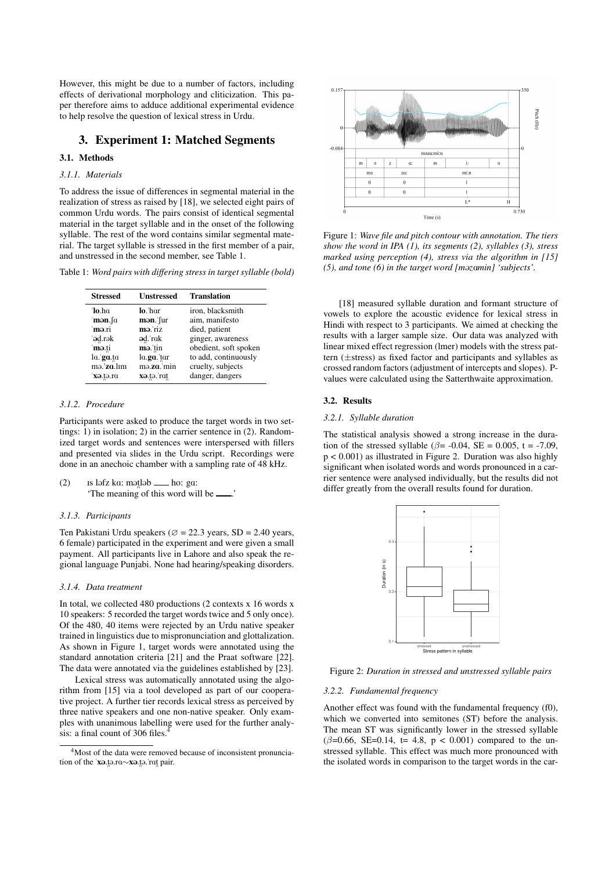However, this might be due to a number of factors, including effects of derivational morphology and cliticization. This paper therefore aims to adduce additional experimental evidence to help resolve the question of lexical stress in Urdu.

## 3. Experiment 1: Matched Segments

## 3.1. Methods

## *3.1.1. Materials*

To address the issue of differences in segmental material in the realization of stress as raised by [18], we selected eight pairs of common Urdu words. The pairs consist of identical segmental material in the target syllable and in the onset of the following syllable. The rest of the word contains similar segmental material. The target syllable is stressed in the first member of a pair, and unstressed in the second member, see Table 1.

Table 1: *Word pairs with differing stress in target syllable (bold)*

| <b>Stressed</b> | Unstressed | <b>Translation</b>    |
|-----------------|------------|-----------------------|
| 'lo.ha          | lo. har    | iron, blacksmith      |
| ˈmən.∫ɑ         | mən. fur   | aim, manifesto        |
| mə.ri           | mə riz     | died, patient         |
| 'əd.rək         | əd. rak    | ginger, awareness     |
| mə.ti           | mə tin     | obedient, soft spoken |
| $a$ . ga.ta     | la.ga. tar | to add, continuously  |
| mə.'za.lım      | ma.za.'min | cruelty, subjects     |
| xə.tə.ra        | xə.tə. rat | danger, dangers       |

## *3.1.2. Procedure*

Participants were asked to produce the target words in two settings: 1) in isolation; 2) in the carrier sentence in (2). Randomized target words and sentences were interspersed with fillers and presented via slides in the Urdu script. Recordings were done in an anechoic chamber with a sampling rate of 48 kHz.

(2) Is lafz ka: matlab  $\_\_\_\$ ho: ga: 'The meaning of this word will be  $\frac{1}{\sqrt{1 - x^2}}$ .

## *3.1.3. Participants*

Ten Pakistani Urdu speakers ( $\varnothing$  = 22.3 years, SD = 2.40 years, 6 female) participated in the experiment and were given a small payment. All participants live in Lahore and also speak the regional language Punjabi. None had hearing/speaking disorders.

## *3.1.4. Data treatment*

In total, we collected 480 productions (2 contexts x 16 words x 10 speakers: 5 recorded the target words twice and 5 only once). Of the 480, 40 items were rejected by an Urdu native speaker trained in linguistics due to mispronunciation and glottalization. As shown in Figure 1, target words were annotated using the standard annotation criteria [21] and the Praat software [22]. The data were annotated via the guidelines established by [23].

Lexical stress was automatically annotated using the algorithm from [15] via a tool developed as part of our cooperative project. A further tier records lexical stress as perceived by three native speakers and one non-native speaker. Only examples with unanimous labelling were used for the further analysis: a final count of 306 files.<sup>4</sup>



Figure 1: *Wave file and pitch contour with annotation. The tiers show the word in IPA (1), its segments (2), syllables (3), stress marked using perception (4), stress via the algorithm in [15] (5), and tone (6) in the target word [mazamin] 'subjects'.* 

[18] measured syllable duration and formant structure of vowels to explore the acoustic evidence for lexical stress in Hindi with respect to 3 participants. We aimed at checking the results with a larger sample size. Our data was analyzed with linear mixed effect regression (lmer) models with the stress pattern (±stress) as fixed factor and participants and syllables as crossed random factors (adjustment of intercepts and slopes). Pvalues were calculated using the Satterthwaite approximation.

### 3.2. Results

### *3.2.1. Syllable duration*

The statistical analysis showed a strong increase in the duration of the stressed syllable ( $\beta$ = -0.04, SE = 0.005, t = -7.09, p < 0.001) as illustrated in Figure 2. Duration was also highly significant when isolated words and words pronounced in a carrier sentence were analysed individually, but the results did not differ greatly from the overall results found for duration.



Figure 2: *Duration in stressed and unstressed syllable pairs*

### *3.2.2. Fundamental frequency*

Another effect was found with the fundamental frequency (f0), which we converted into semitones (ST) before the analysis. The mean ST was significantly lower in the stressed syllable ( $\beta$ =0.66, SE=0.14, t= 4.8, p < 0.001) compared to the unstressed syllable. This effect was much more pronounced with the isolated words in comparison to the target words in the car-

<sup>4</sup>Most of the data were removed because of inconsistent pronunciation of the 'xa.ta.ra∼xa.ta.'rat pair.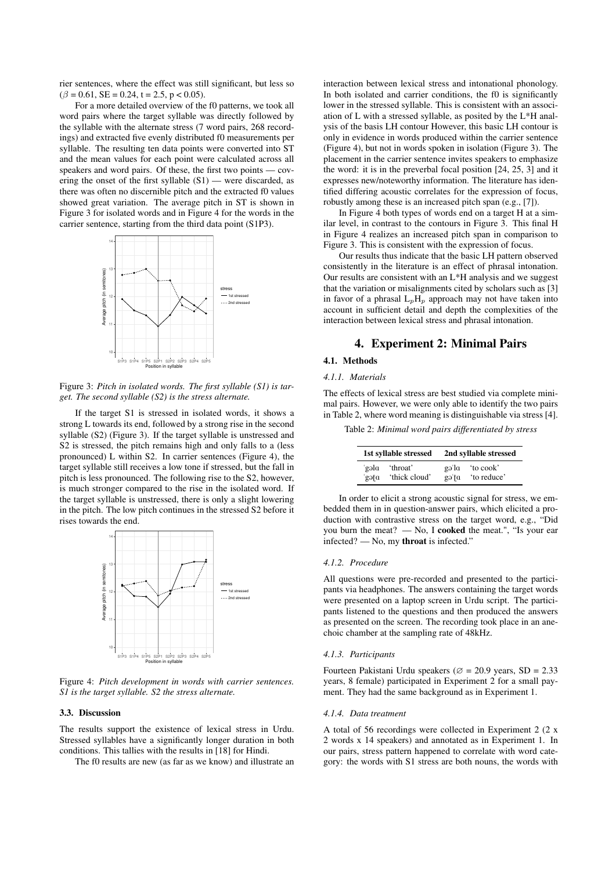rier sentences, where the effect was still significant, but less so  $(\beta = 0.61, SE = 0.24, t = 2.5, p < 0.05)$ .

For a more detailed overview of the f0 patterns, we took all word pairs where the target syllable was directly followed by the syllable with the alternate stress (7 word pairs, 268 recordings) and extracted five evenly distributed f0 measurements per syllable. The resulting ten data points were converted into ST and the mean values for each point were calculated across all speakers and word pairs. Of these, the first two points — covering the onset of the first syllable (S1) — were discarded, as there was often no discernible pitch and the extracted f0 values showed great variation. The average pitch in ST is shown in Figure 3 for isolated words and in Figure 4 for the words in the carrier sentence, starting from the third data point (S1P3).



Figure 3: *Pitch in isolated words. The first syllable (S1) is target. The second syllable (S2) is the stress alternate.*

If the target S1 is stressed in isolated words, it shows a strong L towards its end, followed by a strong rise in the second syllable (S2) (Figure 3). If the target syllable is unstressed and S2 is stressed, the pitch remains high and only falls to a (less pronounced) L within S2. In carrier sentences (Figure 4), the target syllable still receives a low tone if stressed, but the fall in pitch is less pronounced. The following rise to the S2, however, is much stronger compared to the rise in the isolated word. If the target syllable is unstressed, there is only a slight lowering in the pitch. The low pitch continues in the stressed S2 before it rises towards the end.



Figure 4: *Pitch development in words with carrier sentences. S1 is the target syllable. S2 the stress alternate.*

### 3.3. Discussion

The results support the existence of lexical stress in Urdu. Stressed syllables have a significantly longer duration in both conditions. This tallies with the results in [18] for Hindi.

The f0 results are new (as far as we know) and illustrate an

interaction between lexical stress and intonational phonology. In both isolated and carrier conditions, the f0 is significantly lower in the stressed syllable. This is consistent with an association of L with a stressed syllable, as posited by the L\*H analysis of the basis LH contour However, this basic LH contour is only in evidence in words produced within the carrier sentence (Figure 4), but not in words spoken in isolation (Figure 3). The placement in the carrier sentence invites speakers to emphasize the word: it is in the preverbal focal position [24, 25, 3] and it expresses new/noteworthy information. The literature has identified differing acoustic correlates for the expression of focus, robustly among these is an increased pitch span (e.g., [7]).

In Figure 4 both types of words end on a target H at a similar level, in contrast to the contours in Figure 3. This final H in Figure 4 realizes an increased pitch span in comparison to Figure 3. This is consistent with the expression of focus.

Our results thus indicate that the basic LH pattern observed consistently in the literature is an effect of phrasal intonation. Our results are consistent with an L\*H analysis and we suggest that the variation or misalignments cited by scholars such as [3] in favor of a phrasal  $L_pH_p$  approach may not have taken into account in sufficient detail and depth the complexities of the interaction between lexical stress and phrasal intonation.

# 4. Experiment 2: Minimal Pairs

# 4.1. Methods

# *4.1.1. Materials*

The effects of lexical stress are best studied via complete minimal pairs. However, we were only able to identify the two pairs in Table 2, where word meaning is distinguishable via stress [4].

Table 2: *Minimal word pairs differentiated by stress*

| 1st syllable stressed |               | 2nd syllable stressed |             |
|-----------------------|---------------|-----------------------|-------------|
| nleg                  | 'throat'      | pl'eg                 | to cook'    |
| pteg                  | 'thick cloud' | gə'ta                 | 'to reduce' |

In order to elicit a strong acoustic signal for stress, we embedded them in in question-answer pairs, which elicited a production with contrastive stress on the target word, e.g., "Did you burn the meat? — No, I cooked the meat.", "Is your ear infected? — No, my throat is infected."

## *4.1.2. Procedure*

All questions were pre-recorded and presented to the participants via headphones. The answers containing the target words were presented on a laptop screen in Urdu script. The participants listened to the questions and then produced the answers as presented on the screen. The recording took place in an anechoic chamber at the sampling rate of 48kHz.

### *4.1.3. Participants*

Fourteen Pakistani Urdu speakers ( $\varnothing$  = 20.9 years, SD = 2.33 years, 8 female) participated in Experiment 2 for a small payment. They had the same background as in Experiment 1.

### *4.1.4. Data treatment*

A total of 56 recordings were collected in Experiment 2 (2 x 2 words x 14 speakers) and annotated as in Experiment 1. In our pairs, stress pattern happened to correlate with word category: the words with S1 stress are both nouns, the words with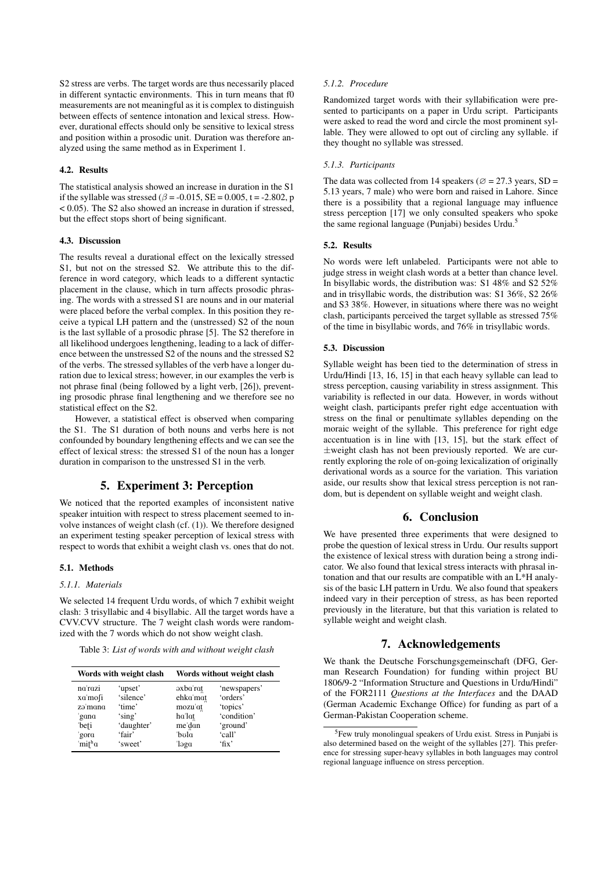S2 stress are verbs. The target words are thus necessarily placed in different syntactic environments. This in turn means that f0 measurements are not meaningful as it is complex to distinguish between effects of sentence intonation and lexical stress. However, durational effects should only be sensitive to lexical stress and position within a prosodic unit. Duration was therefore analyzed using the same method as in Experiment 1.

### 4.2. Results

The statistical analysis showed an increase in duration in the S1 if the syllable was stressed ( $\beta$  = -0.015, SE = 0.005, t = -2.802, p < 0.05). The S2 also showed an increase in duration if stressed, but the effect stops short of being significant.

## 4.3. Discussion

The results reveal a durational effect on the lexically stressed S1, but not on the stressed S2. We attribute this to the difference in word category, which leads to a different syntactic placement in the clause, which in turn affects prosodic phrasing. The words with a stressed S1 are nouns and in our material were placed before the verbal complex. In this position they receive a typical LH pattern and the (unstressed) S2 of the noun is the last syllable of a prosodic phrase [5]. The S2 therefore in all likelihood undergoes lengthening, leading to a lack of difference between the unstressed S2 of the nouns and the stressed S2 of the verbs. The stressed syllables of the verb have a longer duration due to lexical stress; however, in our examples the verb is not phrase final (being followed by a light verb, [26]), preventing prosodic phrase final lengthening and we therefore see no statistical effect on the S2.

However, a statistical effect is observed when comparing the S1. The S1 duration of both nouns and verbs here is not confounded by boundary lengthening effects and we can see the effect of lexical stress: the stressed S1 of the noun has a longer duration in comparison to the unstressed S1 in the verb.

## 5. Experiment 3: Perception

We noticed that the reported examples of inconsistent native speaker intuition with respect to stress placement seemed to involve instances of weight clash (cf. (1)). We therefore designed an experiment testing speaker perception of lexical stress with respect to words that exhibit a weight clash vs. ones that do not.

### 5.1. Methods

## *5.1.1. Materials*

We selected 14 frequent Urdu words, of which 7 exhibit weight clash: 3 trisyllabic and 4 bisyllabic. All the target words have a CVV.CVV structure. The 7 weight clash words were randomized with the 7 words which do not show weight clash.

Table 3: *List of words with and without weight clash*

| Words with weight clash |            | Words without weight clash              |              |  |
|-------------------------|------------|-----------------------------------------|--------------|--|
| na'razi                 | 'upset'    | $\alpha$ axba $\alpha$ <sup>-</sup> rat | 'newspapers' |  |
| xa'mofi                 | 'silence'  | ehka'mat                                | 'orders'     |  |
| zə'mana                 | 'time'     | mozu'at                                 | 'topics'     |  |
| 'gana                   | 'sing'     | ha'lat                                  | 'condition'  |  |
| 'beti                   | 'daughter' | me'dan                                  | 'ground'     |  |
| gora                    | 'fair'     | 'bola                                   | 'call'       |  |
| mit <sup>h</sup> a      | 'sweet'    | 'ləga                                   | $\mathbf{f}$ |  |

## *5.1.2. Procedure*

Randomized target words with their syllabification were presented to participants on a paper in Urdu script. Participants were asked to read the word and circle the most prominent syllable. They were allowed to opt out of circling any syllable. if they thought no syllable was stressed.

## *5.1.3. Participants*

The data was collected from 14 speakers ( $\varnothing$  = 27.3 years, SD = 5.13 years, 7 male) who were born and raised in Lahore. Since there is a possibility that a regional language may influence stress perception [17] we only consulted speakers who spoke the same regional language (Punjabi) besides Urdu.<sup>5</sup>

### 5.2. Results

No words were left unlabeled. Participants were not able to judge stress in weight clash words at a better than chance level. In bisyllabic words, the distribution was: S1 48% and S2 52% and in trisyllabic words, the distribution was: S1 36%, S2 26% and S3 38%. However, in situations where there was no weight clash, participants perceived the target syllable as stressed 75% of the time in bisyllabic words, and 76% in trisyllabic words.

### 5.3. Discussion

Syllable weight has been tied to the determination of stress in Urdu/Hindi [13, 16, 15] in that each heavy syllable can lead to stress perception, causing variability in stress assignment. This variability is reflected in our data. However, in words without weight clash, participants prefer right edge accentuation with stress on the final or penultimate syllables depending on the moraic weight of the syllable. This preference for right edge accentuation is in line with [13, 15], but the stark effect of  $\pm$ weight clash has not been previously reported. We are currently exploring the role of on-going lexicalization of originally derivational words as a source for the variation. This variation aside, our results show that lexical stress perception is not random, but is dependent on syllable weight and weight clash.

# 6. Conclusion

We have presented three experiments that were designed to probe the question of lexical stress in Urdu. Our results support the existence of lexical stress with duration being a strong indicator. We also found that lexical stress interacts with phrasal intonation and that our results are compatible with an L\*H analysis of the basic LH pattern in Urdu. We also found that speakers indeed vary in their perception of stress, as has been reported previously in the literature, but that this variation is related to syllable weight and weight clash.

# 7. Acknowledgements

We thank the Deutsche Forschungsgemeinschaft (DFG, German Research Foundation) for funding within project BU 1806/9-2 "Information Structure and Questions in Urdu/Hindi" of the FOR2111 *Questions at the Interfaces* and the DAAD (German Academic Exchange Office) for funding as part of a German-Pakistan Cooperation scheme.

<sup>5</sup>Few truly monolingual speakers of Urdu exist. Stress in Punjabi is also determined based on the weight of the syllables [27]. This preference for stressing super-heavy syllables in both languages may control regional language influence on stress perception.